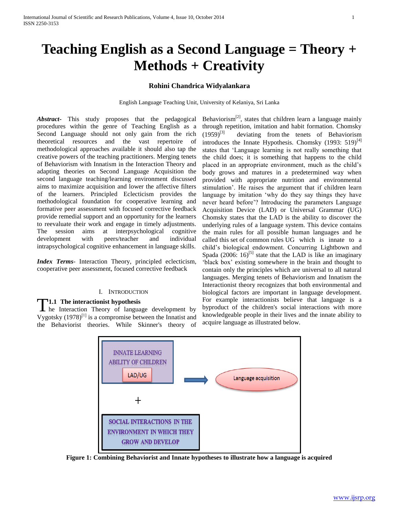# **Teaching English as a Second Language = Theory + Methods + Creativity**

# **Rohini Chandrica Widyalankara**

English Language Teaching Unit, University of Kelaniya, Sri Lanka

*Abstract***-** This study proposes that the pedagogical procedures within the genre of Teaching English as a Second Language should not only gain from the rich theoretical resources and the vast repertoire of methodological approaches available it should also tap the creative powers of the teaching practitioners. Merging tenets of Behaviorism with Innatism in the Interaction Theory and adapting theories on Second Language Acquisition the second language teaching/learning environment discussed aims to maximize acquisition and lower the affective filters of the learners. Principled Eclecticism provides the methodological foundation for cooperative learning and formative peer assessment with focused corrective feedback provide remedial support and an opportunity for the learners to reevaluate their work and engage in timely adjustments. The session aims at interpsychological cognitive development with peers/teacher and individual intrapsychological cognitive enhancement in language skills.

*Index Terms*- Interaction Theory, principled eclecticism, cooperative peer assessment, focused corrective feedback

# I. INTRODUCTION

# **1.1 The interactionist hypothesis**

**T1.1** The interaction ist hypothesis<br>here the Interaction Theory of language development by Vygotsky  $(1978)^{[1]}$  is a compromise between the Innatist and the Behaviorist theories. While Skinner's theory of

Behaviorism $^{[2]}$ , states that children learn a language mainly through repetition, imitation and habit formation. Chomsky  $(1959)^{[3]}$  deviating from the tenets of Behaviorism introduces the Innate Hypothesis. Chomsky  $(1993: 519)^{[4]}$ states that 'Language learning is not really something that the child does; it is something that happens to the child placed in an appropriate environment, much as the child's body grows and matures in a predetermined way when provided with appropriate nutrition and environmental stimulation'. He raises the argument that if children learn language by imitation 'why do they say things they have never heard before'? Introducing the parameters Language Acquisition Device (LAD) or Universal Grammar (UG) Chomsky states that the LAD is the ability to discover the underlying rules of a language system. This device contains the main rules for all possible human languages and he called this set of common rules UG which is innate to a child's biological endowment. Concurring Lightbown and Spada  $(2006: 16)^{5}$  state that the LAD is like an imaginary 'black box' existing somewhere in the brain and thought to contain only the principles which are universal to all natural languages. Merging tenets of Behaviorism and Innatism the Interactionist theory recognizes that both environmental and biological factors are important in language development. For example interactionists believe that language is a byproduct of the children's social interactions with more knowledgeable people in their lives and the innate ability to acquire language as illustrated below.



**Figure 1: Combining Behaviorist and Innate hypotheses to illustrate how a language is acquired**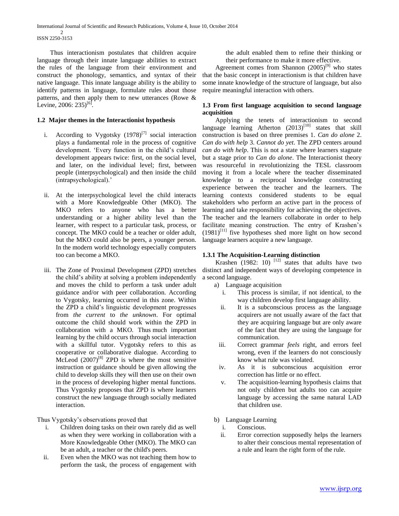Thus interactionism postulates that children acquire language through their innate language abilities to extract the rules of the language from their environment and construct the phonology, semantics, and syntax of their native language. This innate language ability is the ability to identify patterns in language, formulate rules about those patterns, and then apply them to new utterances (Rowe & Levine, 2006: 235)<sup>[6]</sup>.

# **1.2 Major themes in the Interactionist hypothesis**

- i. According to Vygotsky  $(1978)^{[7]}$  social interaction plays a fundamental role in the process of cognitive development. 'Every function in the child's cultural development appears twice: first, on the social level, and later, on the individual level; first, between people (interpsychological) and then inside the child (intrapsychological).'
- ii. At the interpsychological level the child interacts with a More Knowledgeable Other (MKO). The MKO refers to anyone who has a better understanding or a higher ability level than the learner, with respect to a particular task, process, or concept. The MKO could be a teacher or older adult, but the MKO could also be peers, a younger person. In the modern world technology especially computers too can become a MKO.
- iii. The Zone of Proximal Development (ZPD) stretches the child's ability at solving a problem independently and moves the child to perform a task under adult guidance and/or with peer collaboration. According to Vygotsky, learning occurred in this zone. Within the ZPD a child's linguistic development progresses from *the current* to *the unknown*. For optimal outcome the child should work within the ZPD in collaboration with a MKO*.* Thus much important learning by the child occurs through social interaction with a skillful tutor. Vygotsky refers to this as cooperative or collaborative dialogue. According to McLeod  $(2007)^{[8]}$  ZPD is where the most sensitive instruction or guidance should be given allowing the child to develop skills they will then use on their own in the process of developing higher mental functions. Thus Vygotsky proposes that ZPD is where learners construct the new language through socially mediated interaction.

Thus Vygotsky's observations proved that

- i. Children doing tasks on their own rarely did as well as when they were working in collaboration with a More Knowledgeable Other (MKO). The MKO can be an adult, a teacher or the child's peers.
- ii. Even when the MKO was not teaching them how to perform the task, the process of engagement with

the adult enabled them to refine their thinking or their performance to make it more effective.

Agreement comes from Shannon  $(2005)^{9}$  who states that the basic concept in interactionism is that children have some innate knowledge of the structure of language, but also require meaningful interaction with others.

# **1.3 From first language acquisition to second language acquisition**

 Applying the tenets of interactionism to second language learning Atherton  $(2013)^{[10]}$  states that skill construction is based on three premises 1. *Can do alone* 2. *Can do with help* 3. *Cannot do yet*. The ZPD centers around *can do with help*. This is not a state where learners stagnate but a stage prior to *Can do alone*. The Interactionist theory was resourceful in revolutionizing the TESL classroom moving it from a locale where the teacher disseminated knowledge to a reciprocal knowledge constructing experience between the teacher and the learners. The learning contexts considered students to be equal stakeholders who perform an active part in the process of learning and take responsibility for achieving the objectives. The teacher and the learners collaborate in order to help facilitate meaning construction. The entry of Krashen's  $(1981)^{[11]}$  five hypotheses shed more light on how second language learners acquire a new language.

# **1.3.1 The Acquisition-Learning distinction**

Krashen  $(1982: 10)$  <sup>[12]</sup> states that adults have two distinct and independent ways of developing competence in a second language.

- a) Language acquisition
	- i. This process is similar, if not identical, to the way children develop first language ability.
	- ii. It is a subconscious process as the language acquirers are not usually aware of the fact that they are acquiring language but are only aware of the fact that they are using the language for communication.
- iii. Correct grammar *feels* right, and errors feel wrong, even if the learners do not consciously know what rule was violated.
- iv. As it is subconscious acquisition error correction has little or no effect.
- v. The acquisition-learning hypothesis claims that not only children but adults too can acquire language by accessing the same natural LAD that children use.
- b) Language Learning
	- i. Conscious.
	- ii. Error correction supposedly helps the learners to alter their conscious mental representation of a rule and learn the right form of the rule.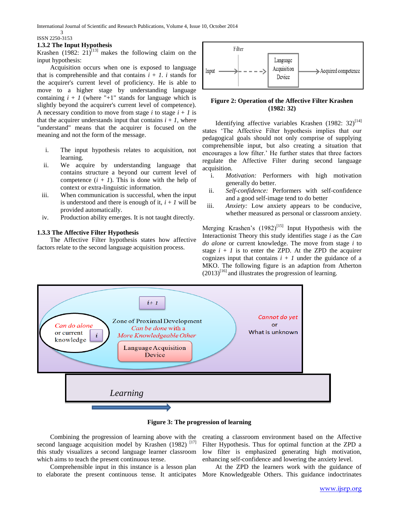### ISSN 2250-3153

3

## **1.3.2 The Input Hypothesis**

Krashen (1982: 21)<sup>[13]</sup> makes the following claim on the input hypothesis:

 Acquisition occurs when one is exposed to language that is comprehensible and that contains  $i + 1$ , i stands for the acquirer's current level of proficiency. He is able to move to a higher stage by understanding language containing  $i + 1$  (where "+1" stands for language which is slightly beyond the acquirer's current level of competence). A necessary condition to move from stage  $i$  to stage  $i + 1$  is that the acquirer understands input that contains  $i + 1$ , where "understand" means that the acquirer is focused on the meaning and not the form of the message.

- i. The input hypothesis relates to acquisition, not learning.
- ii. We acquire by understanding language that contains structure a beyond our current level of competence  $(i + 1)$ . This is done with the help of context or extra-linguistic information.
- iii. When communication is successful, when the input is understood and there is enough of it,  $i + 1$  will be provided automatically.
- iv. Production ability emerges. It is not taught directly.

# **1.3.3 The Affective Filter Hypothesis**

 The Affective Filter hypothesis states how affective factors relate to the second language acquisition process.



# **Figure 2: Operation of the Affective Filter Krashen (1982: 32)**

Identifying affective variables Krashen (1982: 32)<sup>[14]</sup> states 'The Affective Filter hypothesis implies that our pedagogical goals should not only comprise of supplying comprehensible input, but also creating a situation that encourages a low filter.' He further states that three factors regulate the Affective Filter during second language acquisition.

- i. *Motivation:* Performers with high motivation generally do better.
- ii. *Self-confidence:* Performers with self-confidence and a good self-image tend to do better
- iii. *Anxiety:* Low anxiety appears to be conducive, whether measured as personal or classroom anxiety.

Merging Krashen's  $(1982)^{[15]}$  Input Hypothesis with the Interactionist Theory this study identifies stage *i* as the *Can do alone* or current knowledge. The move from stage *i* to stage  $i + 1$  is to enter the ZPD. At the ZPD the acquirer cognizes input that contains  $i + 1$  under the guidance of a MKO. The following figure is an adaption from Atherton  $(2013)^{[16]}$  and illustrates the progression of learning.





 Combining the progression of learning above with the second language acquisition model by Krashen (1982)<sup>[17]</sup> this study visualizes a second language learner classroom which aims to teach the present continuous tense.

 Comprehensible input in this instance is a lesson plan to elaborate the present continuous tense. It anticipates

creating a classroom environment based on the Affective Filter Hypothesis. Thus for optimal function at the ZPD a low filter is emphasized generating high motivation, enhancing self-confidence and lowering the anxiety level.

 At the ZPD the learners work with the guidance of More Knowledgeable Others. This guidance indoctrinates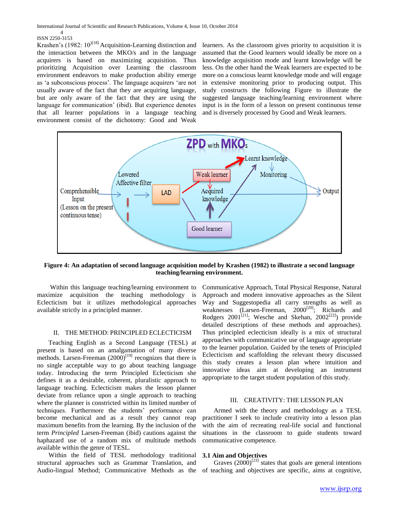#### 4 ISSN 2250-3153

Krashen's (1982:  $10^{18}$ ] Acquisition-Learning distinction and the interaction between the MKO/s and in the language acquirers is based on maximizing acquisition. Thus prioritizing Acquisition over Learning the classroom environment endeavors to make production ability emerge as 'a subconscious process'. The language acquirers 'are not usually aware of the fact that they are acquiring language, but are only aware of the fact that they are using the language for communication' (ibid). But experience denotes that all learner populations in a language teaching environment consist of the dichotomy: Good and Weak

learners. As the classroom gives priority to acquisition it is assumed that the Good learners would ideally be more on a knowledge acquisition mode and learnt knowledge will be less. On the other hand the Weak learners are expected to be more on a conscious learnt knowledge mode and will engage in extensive monitoring prior to producing output. This study constructs the following Figure to illustrate the suggested language teaching/learning environment where input is in the form of a lesson on present continuous tense and is diversely processed by Good and Weak learners.



**Figure 4: An adaptation of second language acquisition model by Krashen (1982) to illustrate a second language teaching/learning environment.**

 Within this language teaching/learning environment to maximize acquisition the teaching methodology is Eclecticism but it utilizes methodological approaches available strictly in a principled manner.

# II. THE METHOD: PRINCIPLED ECLECTICISM

 Teaching English as a Second Language (TESL) at present is based on an amalgamation of many diverse methods. Larsen-Freeman  $(2000)^{[19]}$  recognizes that there is no single acceptable way to go about teaching language today. Introducing the term Principled Eclecticism she defines it as a desirable, coherent, pluralistic approach to language teaching. Eclecticism makes the lesson planner deviate from reliance upon a single approach to teaching where the planner is constricted within its limited number of techniques. Furthermore the students' performance can become mechanical and as a result they cannot reap maximum benefits from the learning. By the inclusion of the term *Principled* Larsen-Freeman (ibid) cautions against the haphazard use of a random mix of multitude methods available within the genre of TESL.

 Within the field of TESL methodology traditional structural approaches such as Grammar Translation, and Audio-lingual Method; Communicative Methods as the of teaching and objectives are specific, aims at cognitive,

Communicative Approach, Total Physical Response, Natural Approach and modern innovative approaches as the Silent Way and Suggestopedia all carry strengths as well as weaknesses (Larsen-Freeman, 2000<sup>[20]</sup>; Richards and Rodgers 2001<sup>[21]</sup>; Wesche and Skehan, 2002<sup>[22]</sup>) provide detailed descriptions of these methods and approaches). Thus principled eclecticism ideally is a mix of structural approaches with communicative use of language appropriate to the learner population. Guided by the tenets of Principled Eclecticism and scaffolding the relevant theory discussed this study creates a lesson plan where intuition and innovative ideas aim at developing an instrument appropriate to the target student population of this study.

## III. CREATIVITY: THE LESSON PLAN

 Armed with the theory and methodology as a TESL practitioner I seek to include creativity into a lesson plan with the aim of recreating real-life social and functional situations in the classroom to guide students toward communicative competence.

# **3.1 Aim and Objectives**

Graves  $(2000)^{[23]}$  states that goals are general intentions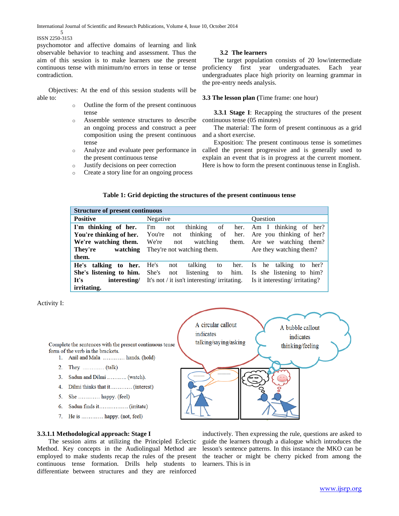#### 5 ISSN 2250-3153

psychomotor and affective domains of learning and link observable behavior to teaching and assessment. Thus the aim of this session is to make learners use the present continuous tense with minimum/no errors in tense or tense contradiction.

 Objectives: At the end of this session students will be able to:

- o Outline the form of the present continuous tense
- o Assemble sentence structures to describe an ongoing process and construct a peer composition using the present continuous tense
- o Analyze and evaluate peer performance in the present continuous tense
- o Justify decisions on peer correction
- o Create a story line for an ongoing process

## **3.2 The learners**

 The target population consists of 20 low/intermediate proficiency first year undergraduates. Each year undergraduates place high priority on learning grammar in the pre-entry needs analysis.

# **3.3 The lesson plan (**Time frame: one hour)

 **3.3.1 Stage I**: Recapping the structures of the present continuous tense (05 minutes)

 The material: The form of present continuous as a grid and a short exercise.

 Exposition: The present continuous tense is sometimes called the present progressive and is generally used to explain an event that is in progress at the current moment. Here is how to form the present continuous tense in English.

## **Table 1: Grid depicting the structures of the present continuous tense**

| <b>Structure of present continuous</b> |                                             |                               |  |  |  |  |  |  |
|----------------------------------------|---------------------------------------------|-------------------------------|--|--|--|--|--|--|
| <b>Positive</b>                        | Negative                                    | <b>Ouestion</b>               |  |  |  |  |  |  |
| I'm thinking of her.                   | thinking<br>I'm<br>of<br>not                | her. Am I thinking of her?    |  |  |  |  |  |  |
| You're thinking of her.                | thinking<br>You're<br>of<br>her.<br>not     | Are you thinking of her?      |  |  |  |  |  |  |
| We're watching them.                   | We're<br>watching<br>them.<br>not           | Are we watching them?         |  |  |  |  |  |  |
| They're<br>watching                    | They're not watching them.                  | Are they watching them?       |  |  |  |  |  |  |
| them.                                  |                                             |                               |  |  |  |  |  |  |
| He's talking to her.                   | He's<br>talking<br>her.<br>not<br>to        | Is he talking<br>her?<br>to   |  |  |  |  |  |  |
| She's listening to him.                | listening<br>She's<br>him.<br>to<br>not     | Is she listening to him?      |  |  |  |  |  |  |
| It's<br>interesting/                   | It's not / it isn't interesting/irritating. | Is it interesting/irritating? |  |  |  |  |  |  |
| irritating.                            |                                             |                               |  |  |  |  |  |  |

## Activity I:

Complete the sentences with the present continuous tense form of the verb in the brackets.

- 1. Anil and Mala ............ hands. (hold)
- 
- 3. Sadun and Dilmi ........... (watch).
- 4. Dilmi thinks that it............ (interest)
- 5. She ............. happy. (feel)
- Sadun finds it................. (irritate) 6.
- 7. He is ............ happy. (not, feel)



# **3.3.1.1 Methodological approach: Stage I**

 The session aims at utilizing the Principled Eclectic Method. Key concepts in the Audiolingual Method are employed to make students recap the rules of the present continuous tense formation. Drills help students to differentiate between structures and they are reinforced

inductively. Then expressing the rule, questions are asked to guide the learners through a dialogue which introduces the lesson's sentence patterns. In this instance the MKO can be the teacher or might be cherry picked from among the learners. This is in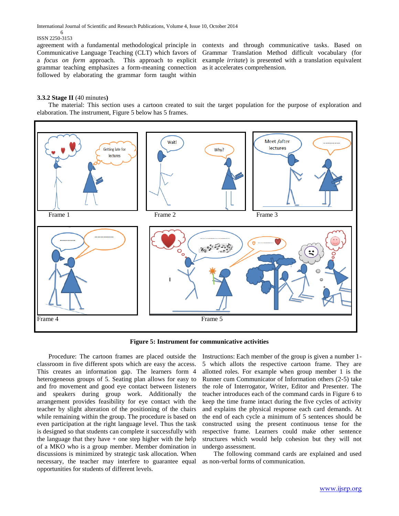#### 6 ISSN 2250-3153

agreement with a fundamental methodological principle in Communicative Language Teaching (CLT) which favors of a *focus on form* approach. This approach to explicit grammar teaching emphasizes a form-meaning connection followed by elaborating the grammar form taught within

contexts and through communicative tasks. Based on Grammar Translation Method difficult vocabulary (for example *irritate*) is presented with a translation equivalent as it accelerates comprehension.

# **3.3.2 Stage II** (40 minutes**)**

 The material: This section uses a cartoon created to suit the target population for the purpose of exploration and elaboration. The instrument, Figure 5 below has 5 frames.



**Figure 5: Instrument for communicative activities**

 Procedure: The cartoon frames are placed outside the classroom in five different spots which are easy the access. This creates an information gap. The learners form 4 heterogeneous groups of 5. Seating plan allows for easy to and fro movement and good eye contact between listeners and speakers during group work. Additionally the arrangement provides feasibility for eye contact with the teacher by slight alteration of the positioning of the chairs while remaining within the group. The procedure is based on even participation at the right language level. Thus the task is designed so that students can complete it successfully with the language that they have  $+$  one step higher with the help of a MKO who is a group member. Member domination in discussions is minimized by strategic task allocation. When necessary, the teacher may interfere to guarantee equal as non-verbal forms of communication.opportunities for students of different levels.

Instructions: Each member of the group is given a number 1- 5 which allots the respective cartoon frame. They are allotted roles. For example when group member 1 is the Runner cum Communicator of Information others (2-5) take the role of Interrogator, Writer, Editor and Presenter. The teacher introduces each of the command cards in Figure 6 to keep the time frame intact during the five cycles of activity and explains the physical response each card demands. At the end of each cycle a minimum of 5 sentences should be constructed using the present continuous tense for the respective frame. Learners could make other sentence structures which would help cohesion but they will not undergo assessment.

The following command cards are explained and used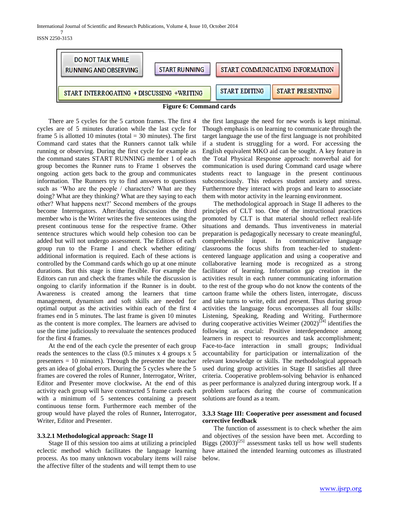7 ISSN 2250-3153





 There are 5 cycles for the 5 cartoon frames. The first 4 cycles are of 5 minutes duration while the last cycle for frame 5 is allotted 10 minutes (total  $=$  30 minutes). The first Command card states that the Runners cannot talk while running or observing. During the first cycle for example as the command states START RUNNING member 1 of each group becomes the Runner runs to Frame 1 observes the ongoing action gets back to the group and communicates information. The Runners try to find answers to questions such as 'Who are the people / characters? What are they doing? What are they thinking? What are they saying to each other? What happens next?' Second members of the groups become Interrogators. After/during discussion the third member who is the Writer writes the five sentences using the present continuous tense for the respective frame. Other sentence structures which would help cohesion too can be added but will not undergo assessment. The Editors of each group run to the Frame I and check whether editing/ additional information is required. Each of these actions is controlled by the Command cards which go up at one minute durations. But this stage is time flexible. For example the Editors can run and check the frames while the discussion is ongoing to clarify information if the Runner is in doubt. Awareness is created among the learners that time management, dynamism and soft skills are needed for optimal output as the activities within each of the first 4 frames end in 5 minutes. The last frame is given 10 minutes as the content is more complex. The learners are advised to use the time judiciously to reevaluate the sentences produced for the first 4 frames.

 At the end of the each cycle the presenter of each group reads the sentences to the class (0.5 minutes x 4 groups x 5 presenters = 10 minutes). Through the presenter the teacher gets an idea of global errors. During the 5 cycles where the 5 frames are covered the roles of Runner, Interrogator, Writer, Editor and Presenter move clockwise**.** At the end of this activity each group will have constructed 5 frame cards each with a minimum of 5 sentences containing a present continuous tense form. Furthermore each member of the group would have played the roles of Runner**,** Interrogator, Writer, Editor and Presenter.

# **3.3.2.1 Methodological approach: Stage II**

 Stage II of this session too aims at utilizing a principled eclectic method which facilitates the language learning process. As too many unknown vocabulary items will raise the affective filter of the students and will tempt them to use

the first language the need for new words is kept minimal. Though emphasis is on learning to communicate through the target language the use of the first language is not prohibited if a student is struggling for a word. For accessing the English equivalent MKO aid can be sought. A key feature in the Total Physical Response approach: nonverbal aid for communication is used during Command card usage where students react to language in the present continuous subconsciously. This reduces student anxiety and stress. Furthermore they interact with props and learn to associate them with motor activity in the learning environment.

 The methodological approach in Stage II adheres to the principles of CLT too. One of the instructional practices promoted by CLT is that material should reflect real-life situations and demands. Thus inventiveness in material preparation is pedagogically necessary to create meaningful, comprehensible input. In communicative language classrooms the focus shifts from teacher-led to studentcentered language application and using a cooperative and collaborative learning mode is recognized as a strong facilitator of learning. Information gap creation in the activities result in each runner communicating information to the rest of the group who do not know the contents of the cartoon frame while the others listen, interrogate, discuss and take turns to write, edit and present. Thus during group activities the language focus encompasses all four skills: Listening, Speaking, Reading and Writing. Furthermore during cooperative activities Weimer (2002)<sup>[24]</sup> identifies the following as crucial: Positive interdependence among learners in respect to resources and task accomplishment; Face-to-face interaction in small groups; Individual accountability for participation or internalization of the relevant knowledge or skills. The methodological approach used during group activities in Stage II satisfies all three criteria. Cooperative problem-solving behavior is enhanced as peer performance is analyzed during intergroup work. If a problem surfaces during the course of communication solutions are found as a team.

# **3.3.3 Stage III: Cooperative peer assessment and focused corrective feedback**

 The function of assessment is to check whether the aim and objectives of the session have been met. According to Biggs  $(2003)^{[25]}$  assessment tasks tell us how well students have attained the intended learning outcomes as illustrated below.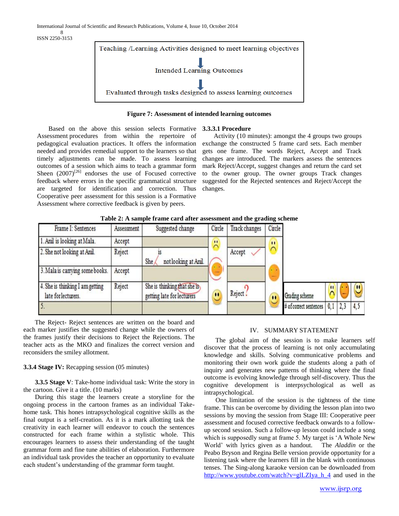8 ISSN 2250-3153



# **Figure 7: Assessment of intended learning outcomes**

**3.3.3.1 Procedure** 

 Based on the above this session selects Formative Assessment procedures from within the repertoire of pedagogical evaluation practices. It offers the information needed and provides remedial support to the learners so that timely adjustments can be made. To assess learning outcomes of a session which aims to teach a grammar form Sheen  $(2007)^{[26]}$  endorses the use of Focused corrective feedback where errors in the specific grammatical structure are targeted for identification and correction. Thus Cooperative peer assessment for this session is a Formative Assessment where corrective feedback is given by peers.

 Activity (10 minutes): amongst the 4 groups two groups exchange the constructed 5 frame card sets. Each member gets one frame. The words Reject, Accept and Track changes are introduced. The markers assess the sentences mark Reject/Accept, suggest changes and return the card set to the owner group. The owner groups Track changes suggested for the Rejected sentences and Reject/Accept the changes.

| Frame I: Sentences                                     | Assessment | Suggested change                                           | Circle         | Track changes | Circle    |                        |              |     |
|--------------------------------------------------------|------------|------------------------------------------------------------|----------------|---------------|-----------|------------------------|--------------|-----|
| 1. Anil is looking at Mala.                            | Accept     |                                                            | $\blacksquare$ |               | $\cdot$   |                        |              |     |
| 2. She not looking at Anil.                            | Reject     | not looking at Anil.<br>She                                |                | Accept        |           |                        |              |     |
| 3. Mala is carrying some books.                        | Accept     |                                                            |                |               |           |                        |              |     |
| 4. She is thinking I am getting<br>late for lecturers. | Reject     | She is thinking that she is,<br>getting late for lecturers | $\bullet$      | Reject!       | $\bullet$ | Grading scheme         | $\mathbf{u}$ | Ш   |
|                                                        |            |                                                            |                |               |           | # of correct sentences |              | 4,5 |

**Table 2: A sample frame card after assessment and the grading scheme**

 The Reject- Reject sentences are written on the board and each marker justifies the suggested change while the owners of the frames justify their decisions to Reject the Rejections. The teacher acts as the MKO and finalizes the correct version and reconsiders the smiley allotment.

## **3.3.4 Stage IV:** Recapping session (05 minutes)

 **3.3.5 Stage V**: Take-home individual task: Write the story in the cartoon. Give it a title. (10 marks)

 During this stage the learners create a storyline for the ongoing process in the cartoon frames as an individual Takehome task. This hones intrapsychological cognitive skills as the final output is a self-creation. As it is a mark allotting task the creativity in each learner will endeavor to couch the sentences constructed for each frame within a stylistic whole. This encourages learners to assess their understanding of the taught grammar form and fine tune abilities of elaboration. Furthermore an individual task provides the teacher an opportunity to evaluate each student's understanding of the grammar form taught.

## IV. SUMMARY STATEMENT

 The global aim of the session is to make learners self discover that the process of learning is not only accumulating knowledge and skills. Solving communicative problems and monitoring their own work guide the students along a path of inquiry and generates new patterns of thinking where the final outcome is evolving knowledge through self-discovery. Thus the cognitive development is interpsychological as well as intrapsychological.

 One limitation of the session is the tightness of the time frame. This can be overcome by dividing the lesson plan into two sessions by moving the session from Stage III: Cooperative peer assessment and focused corrective feedback onwards to a followup second session. Such a follow-up lesson could include a song which is supposedly sung at frame 5. My target is 'A Whole New World' with lyrics given as a handout. The *Aladdin* or the Peabo Bryson and Regina Belle version provide opportunity for a listening task where the learners fill in the blank with continuous tenses. The Sing-along karaoke version can be downloaded from [http://www.youtube.com/watch?v=glLZIya\\_h\\_4](http://www.youtube.com/watch?v=glLZIya_h_4) and used in the